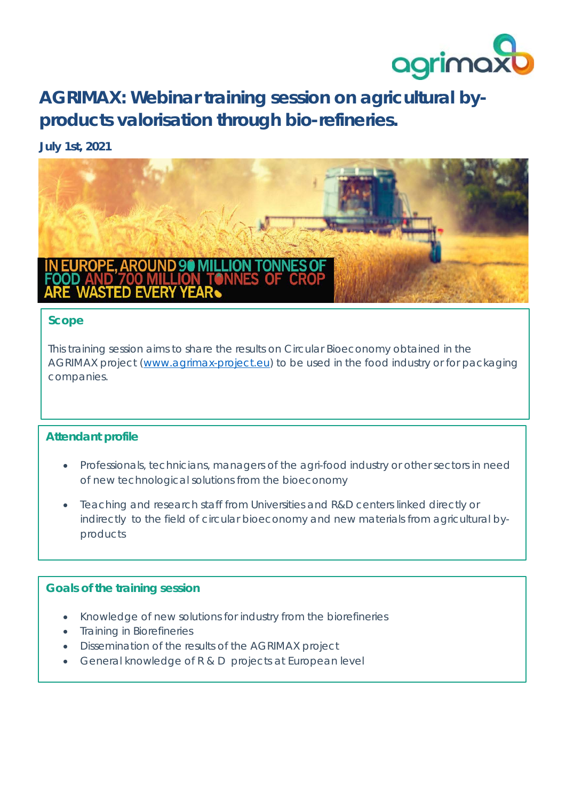

**AGRIMAX: Webinar training session on agricultural byproducts valorisation through bio-refineries.**

# **July 1st, 2021**



#### **Scope**

This training session aims to share the results on Circular Bioeconomy obtained in the AGRIMAX project [\(www.agrimax-project.eu\)](http://www.agrimax-project.eu/) to be used in the food industry or for packaging companies.

# **Attendant profile**

- Professionals, technicians, managers of the agri-food industry or other sectors in need of new technological solutions from the bioeconomy
- Teaching and research staff from Universities and R&D centers linked directly or indirectly to the field of circular bioeconomy and new materials from agricultural byproducts

### **Goals of the training session**

- Knowledge of new solutions for industry from the biorefineries
- Training in Biorefineries
- Dissemination of the results of the AGRIMAX project
- General knowledge of R & D projects at European level